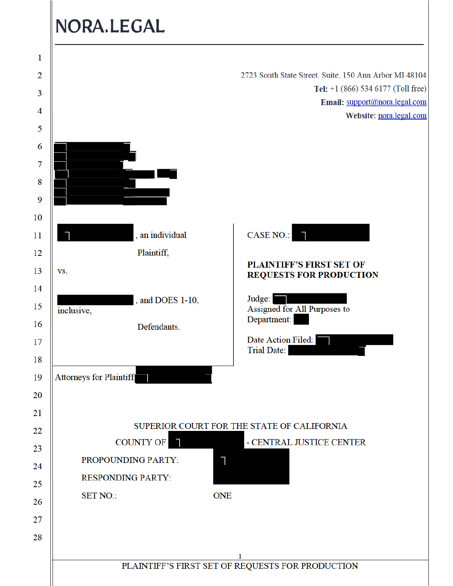# NORA.LEGAL

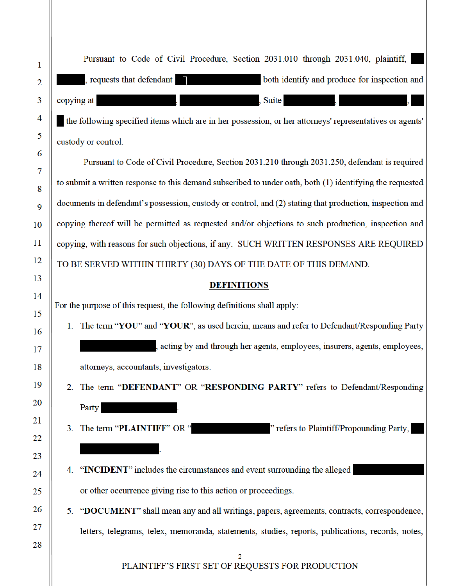| Pursuant to Code of Civil Procedure, Section 2031.010 through 2031.040, plaintiff,<br>both identify and produce for inspection and<br>, requests that defendant<br>copying at<br><b>Suite</b><br>the following specified items which are in her possession, or her attorneys' representatives or agents'<br>custody or control.<br>Pursuant to Code of Civil Procedure, Section 2031.210 through 2031.250, defendant is required<br>to submit a written response to this demand subscribed to under oath, both (1) identifying the requested |
|----------------------------------------------------------------------------------------------------------------------------------------------------------------------------------------------------------------------------------------------------------------------------------------------------------------------------------------------------------------------------------------------------------------------------------------------------------------------------------------------------------------------------------------------|
|                                                                                                                                                                                                                                                                                                                                                                                                                                                                                                                                              |
|                                                                                                                                                                                                                                                                                                                                                                                                                                                                                                                                              |
|                                                                                                                                                                                                                                                                                                                                                                                                                                                                                                                                              |
|                                                                                                                                                                                                                                                                                                                                                                                                                                                                                                                                              |
|                                                                                                                                                                                                                                                                                                                                                                                                                                                                                                                                              |
|                                                                                                                                                                                                                                                                                                                                                                                                                                                                                                                                              |
|                                                                                                                                                                                                                                                                                                                                                                                                                                                                                                                                              |
|                                                                                                                                                                                                                                                                                                                                                                                                                                                                                                                                              |
| documents in defendant's possession, custody or control, and (2) stating that production, inspection and                                                                                                                                                                                                                                                                                                                                                                                                                                     |
| copying thereof will be permitted as requested and/or objections to such production, inspection and                                                                                                                                                                                                                                                                                                                                                                                                                                          |
| copying, with reasons for such objections, if any. SUCH WRITTEN RESPONSES ARE REQUIRED                                                                                                                                                                                                                                                                                                                                                                                                                                                       |
| TO BE SERVED WITHIN THIRTY (30) DAYS OF THE DATE OF THIS DEMAND.                                                                                                                                                                                                                                                                                                                                                                                                                                                                             |
| <b>DEFINITIONS</b>                                                                                                                                                                                                                                                                                                                                                                                                                                                                                                                           |
| For the purpose of this request, the following definitions shall apply:                                                                                                                                                                                                                                                                                                                                                                                                                                                                      |
| The term "YOU" and "YOUR", as used herein, means and refer to Defendant/Responding Party<br>1.                                                                                                                                                                                                                                                                                                                                                                                                                                               |
| acting by and through her agents, employees, insurers, agents, employees,                                                                                                                                                                                                                                                                                                                                                                                                                                                                    |
| attorneys, accountants, investigators.                                                                                                                                                                                                                                                                                                                                                                                                                                                                                                       |
| The term "DEFENDANT" OR "RESPONDING PARTY" refers to Defendant/Responding                                                                                                                                                                                                                                                                                                                                                                                                                                                                    |
| Party                                                                                                                                                                                                                                                                                                                                                                                                                                                                                                                                        |
| " refers to Plaintiff/Propounding Party,<br>The term "PLAINTIFF" OR "<br>3.                                                                                                                                                                                                                                                                                                                                                                                                                                                                  |
|                                                                                                                                                                                                                                                                                                                                                                                                                                                                                                                                              |
| "INCIDENT" includes the circumstances and event surrounding the alleged<br>4.                                                                                                                                                                                                                                                                                                                                                                                                                                                                |
| or other occurrence giving rise to this action or proceedings.                                                                                                                                                                                                                                                                                                                                                                                                                                                                               |
| 5. "DOCUMENT" shall mean any and all writings, papers, agreements, contracts, correspondence,                                                                                                                                                                                                                                                                                                                                                                                                                                                |
| letters, telegrams, telex, memoranda, statements, studies, reports, publications, records, notes,                                                                                                                                                                                                                                                                                                                                                                                                                                            |
|                                                                                                                                                                                                                                                                                                                                                                                                                                                                                                                                              |
| PLAINTIFF'S FIRST SET OF REQUESTS FOR PRODUCTION                                                                                                                                                                                                                                                                                                                                                                                                                                                                                             |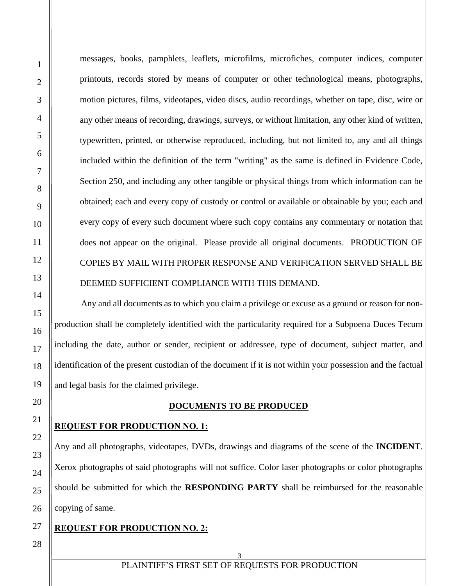messages, books, pamphlets, leaflets, microfilms, microfiches, computer indices, computer printouts, records stored by means of computer or other technological means, photographs, motion pictures, films, videotapes, video discs, audio recordings, whether on tape, disc, wire or any other means of recording, drawings, surveys, or without limitation, any other kind of written, typewritten, printed, or otherwise reproduced, including, but not limited to, any and all things included within the definition of the term "writing" as the same is defined in Evidence Code, Section 250, and including any other tangible or physical things from which information can be obtained; each and every copy of custody or control or available or obtainable by you; each and every copy of every such document where such copy contains any commentary or notation that does not appear on the original. Please provide all original documents. PRODUCTION OF COPIES BY MAIL WITH PROPER RESPONSE AND VERIFICATION SERVED SHALL BE DEEMED SUFFICIENT COMPLIANCE WITH THIS DEMAND.

Any and all documents as to which you claim a privilege or excuse as a ground or reason for nonproduction shall be completely identified with the particularity required for a Subpoena Duces Tecum including the date, author or sender, recipient or addressee, type of document, subject matter, and identification of the present custodian of the document if it is not within your possession and the factual and legal basis for the claimed privilege.

#### **DOCUMENTS TO BE PRODUCED**

#### **REQUEST FOR PRODUCTION NO. 1:**

Any and all photographs, videotapes, DVDs, drawings and diagrams of the scene of the **INCIDENT**. Xerox photographs of said photographs will not suffice. Color laser photographs or color photographs should be submitted for which the **RESPONDING PARTY** shall be reimbursed for the reasonable copying of same.

### **REQUEST FOR PRODUCTION NO. 2:**

#### 3 PLAINTIFF'S FIRST SET OF REQUESTS FOR PRODUCTION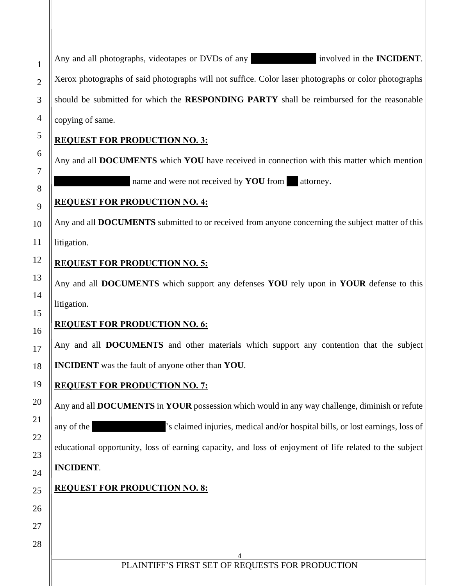4 Any and all photographs, videotapes or DVDs of any involved in the **INCIDENT**. Xerox photographs of said photographs will not suffice. Color laser photographs or color photographs should be submitted for which the **RESPONDING PARTY** shall be reimbursed for the reasonable copying of same. **REQUEST FOR PRODUCTION NO. 3:** Any and all **DOCUMENTS** which **YOU** have received in connection with this matter which mention name and were not received by **YOU** from attorney. **REQUEST FOR PRODUCTION NO. 4:** Any and all **DOCUMENTS** submitted to or received from anyone concerning the subject matter of this litigation. **REQUEST FOR PRODUCTION NO. 5:** Any and all **DOCUMENTS** which support any defenses **YOU** rely upon in **YOUR** defense to this litigation. **REQUEST FOR PRODUCTION NO. 6:** Any and all **DOCUMENTS** and other materials which support any contention that the subject **INCIDENT** was the fault of anyone other than **YOU**. **REQUEST FOR PRODUCTION NO. 7:** Any and all **DOCUMENTS** in **YOUR** possession which would in any way challenge, diminish or refute any of the 's claimed injuries, medical and/or hospital bills, or lost earnings, loss of educational opportunity, loss of earning capacity, and loss of enjoyment of life related to the subject **INCIDENT**. **REQUEST FOR PRODUCTION NO. 8:**

PLAINTIFF'S FIRST SET OF REQUESTS FOR PRODUCTION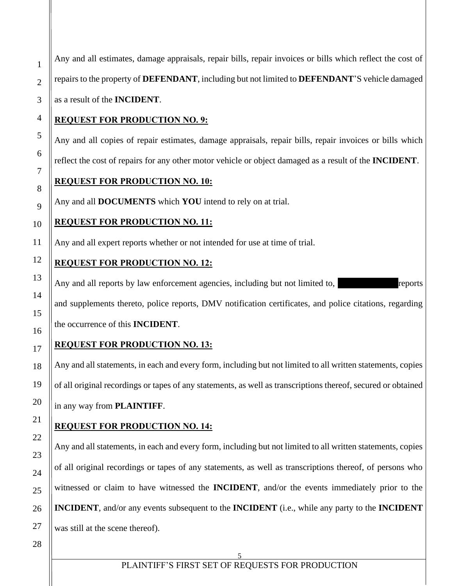5 2 3 4 5 6 7 8 9 10 11 12 13 14 15 16 17 18 19 20 21 22 23 24 25 26 27 28 repairs to the property of **DEFENDANT**, including but not limited to **DEFENDANT**'S vehicle damaged as a result of the **INCIDENT**. **REQUEST FOR PRODUCTION NO. 9:** Any and all copies of repair estimates, damage appraisals, repair bills, repair invoices or bills which reflect the cost of repairs for any other motor vehicle or object damaged as a result of the **INCIDENT**. **REQUEST FOR PRODUCTION NO. 10:** Any and all **DOCUMENTS** which **YOU** intend to rely on at trial. **REQUEST FOR PRODUCTION NO. 11:** Any and all expert reports whether or not intended for use at time of trial. **REQUEST FOR PRODUCTION NO. 12:** Any and all reports by law enforcement agencies, including but not limited to, reports and supplements thereto, police reports, DMV notification certificates, and police citations, regarding the occurrence of this **INCIDENT**. **REQUEST FOR PRODUCTION NO. 13:** Any and all statements, in each and every form, including but not limited to all written statements, copies of all original recordings or tapes of any statements, as well as transcriptions thereof, secured or obtained in any way from **PLAINTIFF**. **REQUEST FOR PRODUCTION NO. 14:** Any and all statements, in each and every form, including but not limited to all written statements, copies of all original recordings or tapes of any statements, as well as transcriptions thereof, of persons who witnessed or claim to have witnessed the **INCIDENT**, and/or the events immediately prior to the **INCIDENT**, and/or any events subsequent to the **INCIDENT** (i.e., while any party to the **INCIDENT** was still at the scene thereof).

Any and all estimates, damage appraisals, repair bills, repair invoices or bills which reflect the cost of

1

PLAINTIFF'S FIRST SET OF REQUESTS FOR PRODUCTION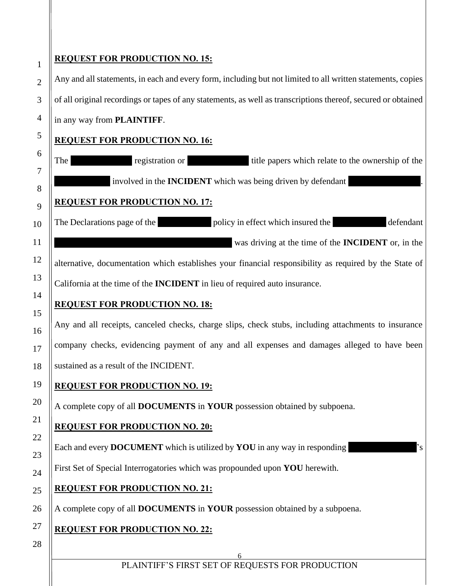### **REQUEST FOR PRODUCTION NO. 15:**

1

2

3

4

5

6

7

8

9

10

11

12

13

14

15

16

17

18

19

20

21

22

23

24

25

26

Any and all statements, in each and every form, including but not limited to all written statements, copies of all original recordings or tapes of any statements, as well as transcriptions thereof, secured or obtained in any way from **PLAINTIFF**.

### **REQUEST FOR PRODUCTION NO. 16:**

The registration or title papers which relate to the ownership of the involved in the **INCIDENT** which was being driven by defendant **REQUEST FOR PRODUCTION NO. 17:** The Declarations page of the policy in effect which insured the defendant was driving at the time of the **INCIDENT** or, in the

alternative, documentation which establishes your financial responsibility as required by the State of California at the time of the **INCIDENT** in lieu of required auto insurance.

# **REQUEST FOR PRODUCTION NO. 18:**

Any and all receipts, canceled checks, charge slips, check stubs, including attachments to insurance company checks, evidencing payment of any and all expenses and damages alleged to have been sustained as a result of the INCIDENT.

# **REQUEST FOR PRODUCTION NO. 19:**

A complete copy of all **DOCUMENTS** in **YOUR** possession obtained by subpoena.

# **REQUEST FOR PRODUCTION NO. 20:**

Each and every **DOCUMENT** which is utilized by **YOU** in any way in responding

First Set of Special Interrogatories which was propounded upon **YOU** herewith.

# **REQUEST FOR PRODUCTION NO. 21:**

A complete copy of all **DOCUMENTS** in **YOUR** possession obtained by a subpoena.

# **REQUEST FOR PRODUCTION NO. 22:**

28

27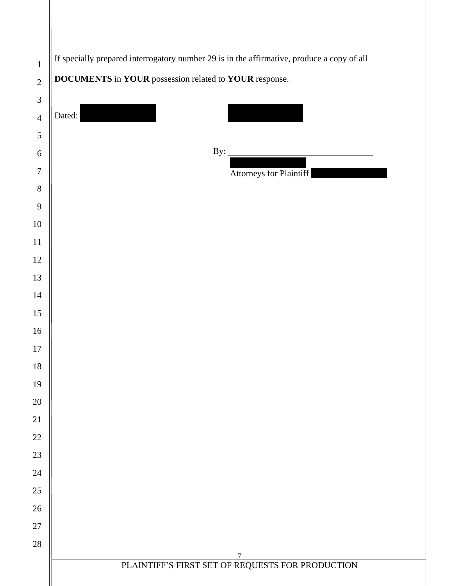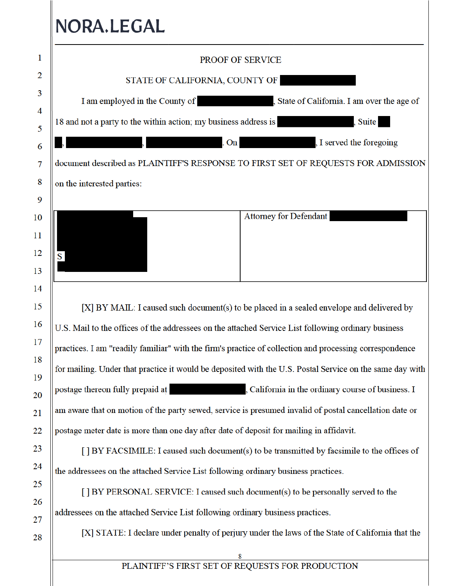# NORA.LEGAL

| 1      | PROOF OF SERVICE                                                                                         |
|--------|----------------------------------------------------------------------------------------------------------|
| 2      | STATE OF CALIFORNIA, COUNTY OF                                                                           |
| 3      | I am employed in the County of<br>, State of California. I am over the age of                            |
| 4      | 18 and not a party to the within action; my business address is<br>, Suite                               |
| 5      | . On<br>I served the foregoing                                                                           |
| 6      |                                                                                                          |
| 7      | document described as PLAINTIFF'S RESPONSE TO FIRST SET OF REQUESTS FOR ADMISSION                        |
| 8<br>9 | on the interested parties:                                                                               |
| 10     | <b>Attorney for Defendant</b>                                                                            |
| 11     |                                                                                                          |
| 12     |                                                                                                          |
| 13     | S                                                                                                        |
| 14     |                                                                                                          |
| 15     | [X] BY MAIL: I caused such document(s) to be placed in a sealed envelope and delivered by                |
| 16     | U.S. Mail to the offices of the addressees on the attached Service List following ordinary business      |
| 17     | practices. I am "readily familiar" with the firm's practice of collection and processing correspondence  |
| 18     | for mailing. Under that practice it would be deposited with the U.S. Postal Service on the same day with |
| 19     |                                                                                                          |
| 20     | postage thereon fully prepaid at<br>Scalifornia in the ordinary course of business. I                    |
| 21     | am aware that on motion of the party sewed, service is presumed invalid of postal cancellation date or   |
| 22     | postage meter date is more than one day after date of deposit for mailing in affidavit.                  |
| 23     | [] BY FACSIMILE: I caused such document(s) to be transmitted by facsimile to the offices of              |
| 24     | the addressees on the attached Service List following ordinary business practices.                       |
| 25     | [] BY PERSONAL SERVICE: I caused such document(s) to be personally served to the                         |
| 26     | addressees on the attached Service List following ordinary business practices.                           |
| 27     | [X] STATE: I declare under penalty of perjury under the laws of the State of California that the         |
| 28     |                                                                                                          |
|        |                                                                                                          |